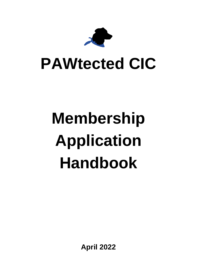

## **PAWtected CIC**

# **Membership Application Handbook**

**April 2022**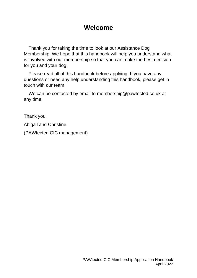## **Welcome**

Thank you for taking the time to look at our Assistance Dog Membership. We hope that this handbook will help you understand what is involved with our membership so that you can make the best decision for you and your dog.

Please read all of this handbook before applying. If you have any questions or need any help understanding this handbook, please get in touch with our team.

We can be contacted by email to membership@pawtected.co.uk at any time.

Thank you,

Abigail and Christine

(PAWtected CIC management)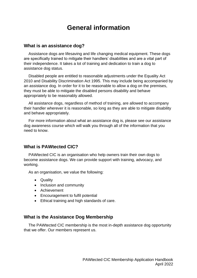## **General information**

#### **What is an assistance dog?**

Assistance dogs are lifesaving and life changing medical equipment. These dogs are specifically trained to mitigate their handlers' disabilities and are a vital part of their independence. It takes a lot of training and dedication to train a dog to assistance dog status.

Disabled people are entitled to reasonable adjustments under the Equality Act 2010 and Disability Discrimination Act 1995. This may include being accompanied by an assistance dog. In order for it to be reasonable to allow a dog on the premises, they must be able to mitigate the disabled persons disability and behave appropriately to be reasonably allowed.

All assistance dogs, regardless of method of training, are allowed to accompany their handler wherever it is reasonable, so long as they are able to mitigate disability and behave appropriately.

For more information about what an assistance dog is, please see our assistance dog awareness course which will walk you through all of the information that you need to know.

#### **What is PAWtected CIC?**

PAWtected CIC is an organisation who help owners train their own dogs to become assistance dogs. We can provide support with training, advocacy, and working.

As an organisation, we value the following:

- Quality
- Inclusion and community
- Achievement
- Encouragement to fulfil potential
- Ethical training and high standards of care.

#### **What is the Assistance Dog Membership**

The PAWtected CIC membership is the most in-depth assistance dog opportunity that we offer. Our members represent us.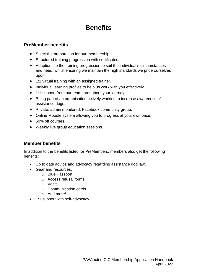## **Benefits**

#### **PreMember benefits**

- Specialist preparation for our membership.
- Structured training progression with certificates.
- Adaptions to the training progression to suit the individual's circumstances and need, whilst ensuring we maintain the high standards we pride ourselves upon.
- 1:1 virtual training with an assigned trainer.
- Individual learning profiles to help us work with you effectively.
- 1:1 support from our team throughout your journey.
- Being part of an organisation actively working to increase awareness of assistance dogs.
- Private, admin monitored, Facebook community group.
- Online Moodle system allowing you to progress at your own pace.
- 50% off courses.
- Weekly live group education sessions.

#### **Member benefits**

In addition to the benefits listed for PreMembers, members also get the following benefits:

- Up to date advice and advocacy regarding assistance dog law.
- Gear and resources.
	- o Blue Passport
	- o Access refusal forms
	- o Vests
	- o Communication cards
	- o And more!
- 1:1 support with self-advocacy.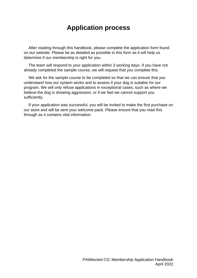## **Application process**

After reading through this handbook, please complete the application form found on our website. Please be as detailed as possible in this form as it will help us determine if our membership is right for you.

The team will respond to your application within 3 working days. If you have not already completed the sample course, we will request that you complete this.

We ask for the sample course to be completed so that we can ensure that you understand how our system works and to assess if your dog is suitable for our program. We will only refuse applications in exceptional cases, such as where we believe the dog is showing aggression, or if we feel we cannot support you sufficiently.

If your application was successful, you will be invited to make the first purchase on our store and will be sent your welcome pack. Please ensure that you read this through as it contains vital information.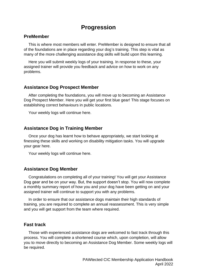### **Progression**

#### **PreMember**

This is where most members will enter. PreMember is designed to ensure that all of the foundations are in place regarding your dog's training. This step is vital as many of the more challenging assistance dog skills will build upon this learning.

Here you will submit weekly logs of your training. In response to these, your assigned trainer will provide you feedback and advice on how to work on any problems.

#### **Assistance Dog Prospect Member**

After completing the foundations, you will move up to becoming an Assistance Dog Prospect Member. Here you will get your first blue gear! This stage focuses on establishing correct behaviours in public locations.

Your weekly logs will continue here.

#### **Assistance Dog in Training Member**

Once your dog has learnt how to behave appropriately, we start looking at finessing these skills and working on disability mitigation tasks. You will upgrade your gear here.

Your weekly logs will continue here.

#### **Assistance Dog Member**

Congratulations on completing all of your training! You will get your Assistance Dog gear and be on your way. But, the support doesn't stop. You will now complete a monthly summary report of how you and your dog have been getting on and your assigned trainer will continue to support you with any problems.

In order to ensure that our assistance dogs maintain their high standards of training, you are required to complete an annual reassessment. This is very simple and you will get support from the team where required.

#### **Fast track**

Those with experienced assistance dogs are welcomed to fast track through this process. You will complete a shortened course which, upon completion, will allow you to move directly to becoming an Assistance Dog Member. Some weekly logs will be required.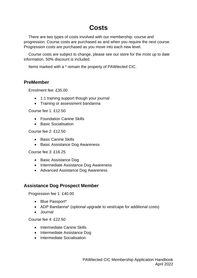## **Costs**

There are two types of costs involved with our membership: course and progression. Course costs are purchased as and when you require the next course. Progression costs are purchased as you move into each new level.

Course costs are subject to change, please see our store for the most up to date information. 50% discount is included.

Items marked with a \* remain the property of PAWtected CIC.

#### **PreMember**

Enrolment fee: £35.00

- 1:1 training support though your journal
- Training or assessment bandanna

Course fee 1: £12.50

- Foundation Canine Skills
- Basic Socialisation

Course fee 2: £12.50

- Basic Canine Skills
- Basic Assistance Dog Awareness

Course fee 3: £16.25

- Basic Assistance Dog
- Intermediate Assistance Dog Awareness
- Advanced Assistance Dog Awareness

#### **Assistance Dog Prospect Member**

Progression fee 1: £40.00

- Blue Passport\*
- ADP Bandanna\* (optional upgrade to vest/cape for additional costs)
- Journal

Course fee 4: £22.50

- Intermediate Canine Skills
- Intermediate Assistance Dog
- Intermediate Socialisation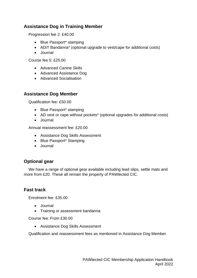#### **Assistance Dog in Training Member**

Progression fee 2: £40.00

- Blue Passport\* stamping
- ADiT Bandanna\* (optional upgrade to vest/cape for additional costs)
- Journal

Course fee 5: £25.00

- Advanced Canine Skills
- Advanced Assistance Dog
- Advanced Socialisation

#### **Assistance Dog Member**

Qualification fee: £50.00

- Blue Passport\* stamping
- AD vest or cape without pockets<sup>\*</sup> (optional upgrades for additional costs)
- Journal

Annual reassessment fee: £20.00

- Assistance Dog Skills Assessment
- Blue Passport\* Stamping
- Journal

#### **Optional gear**

We have a range of optional gear available including lead slips, settle mats and more from £20. These all remain the property of PAWtected CIC.

#### **Fast track**

Enrolment fee: £35.00

- Journal
- Training or assessment bandanna

Course fee: From £30.00

• Assistance Dog Skills Assessment

Qualification and reassessment fees as mentioned in Assistance Dog Member.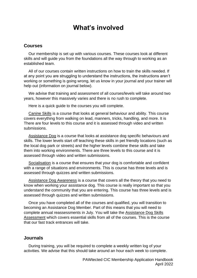## **What's involved**

#### **Courses**

Our membership is set up with various courses. These courses look at different skills and will guide you from the foundations all the way through to working as an established team.

All of our courses contain written instructions on how to train the skills needed. If at any point you are struggling to understand the instructions, the instructions aren't working or something is going wrong, let us know in your journal and your trainer will help out (information on journal below).

We advise that training and assessment of all courses/levels will take around two years, however this massively varies and there is no rush to complete.

Here is a quick guide to the courses you will complete.

Canine Skills is a course that looks at general behaviour and ability. This course covers everything from walking on lead, manners, tricks, handling, and more. It is There are four levels to this course and it is assessed through video and written submissions.

Assistance Dog is a course that looks at assistance dog specific behaviours and skills. The lower levels start off teaching these skills in pet friendly locations (such as the local dog park or streets) and the higher levels combine these skills and take them into working environments. There are three levels to this course and it is assessed through video and written submissions.

Socialisation is a course that ensures that your dog is comfortable and confident with a range of situations and environments. This is course has three levels and is assessed through quizzes and written submissions.

Assistance Dog Awareness is a course that covers all the theory that you need to know when working your assistance dog. This course is really important so that you understand the community that you are entering. This course has three levels and is assessed through quizzes and written submissions.

Once you have completed all of the courses and qualified, you will transition to becoming an Assistance Dog Member. Part of this means that you will need to complete annual reassessments in July. You will take the Assistance Dog Skills Assessment which covers essential skills from all of the courses. This is the course that our fast track entrances will take.

#### **Journals**

During training, you will be required to complete a weekly written log of your activities. We advise that this should take around an hour each week to complete.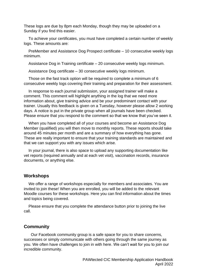These logs are due by 8pm each Monday, though they may be uploaded on a Sunday if you find this easier.

To achieve your certificates, you must have completed a certain number of weekly logs. These amounts are:

PreMember and Assistance Dog Prospect certificate – 10 consecutive weekly logs minimum.

Assistance Dog in Training certificate – 20 consecutive weekly logs minimum.

Assistance Dog certificate – 30 consecutive weekly logs minimum.

Those on the fast track option will be required to complete a minimum of 6 consecutive weekly logs covering their training and preparation for their assessment.

In response to each journal submission, your assigned trainer will make a comment. This comment will highlight anything in the log that we need more information about, give training advice and be your predominant contact with your trainer. Usually this feedback is given on a Tuesday, however please allow 2 working days. A notice is put in the private group when all journals have been checked. Please ensure that you respond to the comment so that we know that you've seen it.

When you have completed all of your courses and become an Assistance Dog Member (qualified) you will then move to monthly reports. These reports should take around 45 minutes per month and are a summary of how everything has gone. These are really important to ensure that your training standards are maintained and that we can support you with any issues which arise.

In your journal, there is also space to upload any supporting documentation like vet reports (required annually and at each vet visit), vaccination records, insurance documents, or anything else.

#### **Workshops**

We offer a range of workshops especially for members and associates. You are invited to join these! When you are enrolled, you will be added to the relevant Moodle courses for these workshops. Here you can find information about the times and topics being covered.

Please ensure that you complete the attendance button prior to joining the live call.

#### **Community**

Our Facebook community group is a safe space for you to share concerns, successes or simply communicate with others going through the same journey as you. We often have challenges to join in with here. We can't wait for you to join our incredible community.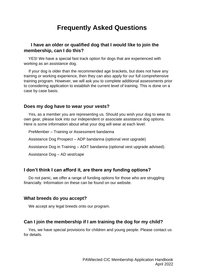## **Frequently Asked Questions**

#### **I have an older or qualified dog that I would like to join the membership, can I do this?**

YES! We have a special fast track option for dogs that are experienced with working as an assistance dog.

If your dog is older than the recommended age brackets, but does not have any training or working experience, then they can also apply for our full comprehensive training program. However, we will ask you to complete additional assessments prior to considering application to establish the current level of training. This is done on a case by case basis.

#### **Does my dog have to wear your vests?**

Yes, as a member you are representing us. Should you wish your dog to wear its own gear, please look into our independent or associate assistance dog options. Here is some information about what your dog will wear at each level:

PreMember – Training or Assessment bandanna Assistance Dog Prospect – ADP bandanna (optional vest upgrade) Assistance Dog in Training – ADiT bandanna (optional vest upgrade advised). Assistance Dog – AD vest/cape

#### **I don't think I can afford it, are there any funding options?**

Do not panic, we offer a range of funding options for those who are struggling financially. Information on these can be found on our website.

#### **What breeds do you accept?**

We accept any legal breeds onto our program.

#### **Can I join the membership if I am training the dog for my child?**

Yes, we have special provisions for children and young people. Please contact us for details.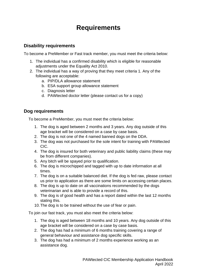## **Requirements**

#### **Disability requirements**

To become a PreMember or Fast track member, you must meet the criteria below:

- 1. The individual has a confirmed disability which is eligible for reasonable adjustments under the Equality Act 2010.
- 2. The individual has a way of proving that they meet criteria 1. Any of the following are acceptable:
	- a. PIP/DLA allowance statement
	- b. ESA support group allowance statement
	- c. Diagnosis letter
	- d. PAWtected doctor letter (please contact us for a copy)

#### **Dog requirements**

To become a PreMember, you must meet the criteria below:

- 1. The dog is aged between 2 months and 3 years. Any dog outside of this age bracket will be considered on a case by case basis.
- 2. The dog is not one of the 4 named banned dogs on the DDA.
- 3. The dog was not purchased for the sole intent for training with PAWtected CIC.
- 4. The dog is insured for both veterinary and public liability claims (these may be from different companies).
- 5. Any bitch will be spayed prior to qualification.
- 6. The dog is microchipped and tagged with up to date information at all times.
- 7. The dog is on a suitable balanced diet. If the dog is fed raw, please contact us prior to application as there are some limits on accessing certain places.
- 8. The dog is up to date on all vaccinations recommended by the dogs veterinarian and is able to provide a record of this.
- 9. The dog is of good health and has a report dated within the last 12 months stating this.
- 10.The dog is to be trained without the use of fear or pain.

To join our fast track, you must also meet the criteria below:

- 1. The dog is aged between 18 months and 10 years. Any dog outside of this age bracket will be considered on a case by case basis.
- 2. The dog has had a minimum of 6 months training covering a range of general behaviour and assistance dog specific skills.
- 3. The dog has had a minimum of 2 months experience working as an assistance dog.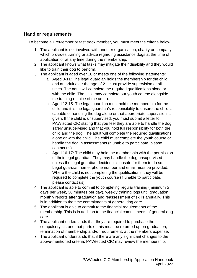#### **Handler requirements**

To become a PreMember or fast track member, you must meet the criteria below:

- 1. The applicant is not involved with another organisation, charity or company which provides training or advice regarding assistance dogs at the time of application or at any time during the membership.
- 2. The applicant knows what tasks may mitigate their disability and they would like to train their dog to perform.
- 3. The applicant is aged over 18 or meets one of the following statements:
	- a. Aged 0-11: The legal guardian holds the membership for the child and an adult over the age of 21 must provide supervision at all times. The adult will complete the required qualifications alone or with the child. The child may complete our youth course alongside the training (choice of the adult).
	- b. Aged 12-15: The legal guardian must hold the membership for the child and it is the legal guardian's responsibility to ensure the child is capable of handling the dog alone or that appropriate supervision is given. If the child is unsupervised, you must submit a letter to PAWtected CIC stating that you feel they are able to handle the dog safely unsupervised and that you hold full responsibility for both the child and the dog. The adult will complete the required qualifications alone or with the child. The child must complete the youth course or handle the dog in assessments (if unable to participate, please contact us).
	- c. Aged 16-17: The child may hold the membership with the permission of their legal guardian. They may handle the dog unsupervised unless the legal guardian decides it is unsafe for them to do so. Legal guardian name, phone number and email must be provided. Where the child is not completing the qualifications, they will be required to complete the youth course (if unable to participate, please contact us).
- 4. The applicant is able to commit to completing regular training (minimum 5 days per week, 30 minutes per day), weekly training logs until graduation, monthly reports after graduation and reassessment of skills annually. This is in addition to the time commitments of general dog care.
- 5. The applicant is able to commit to the financial requirements of the membership. This is in addition to the financial commitments of general dog care.
- 6. The applicant understands that they are required to purchase the compulsory kit, and that parts of this must be returned up on graduation, termination of membership and/or requirement, at the members expense.
- 7. The applicant understands that if there are any significant changes to the above-mentioned criteria, PAWtected CIC may review the membership.